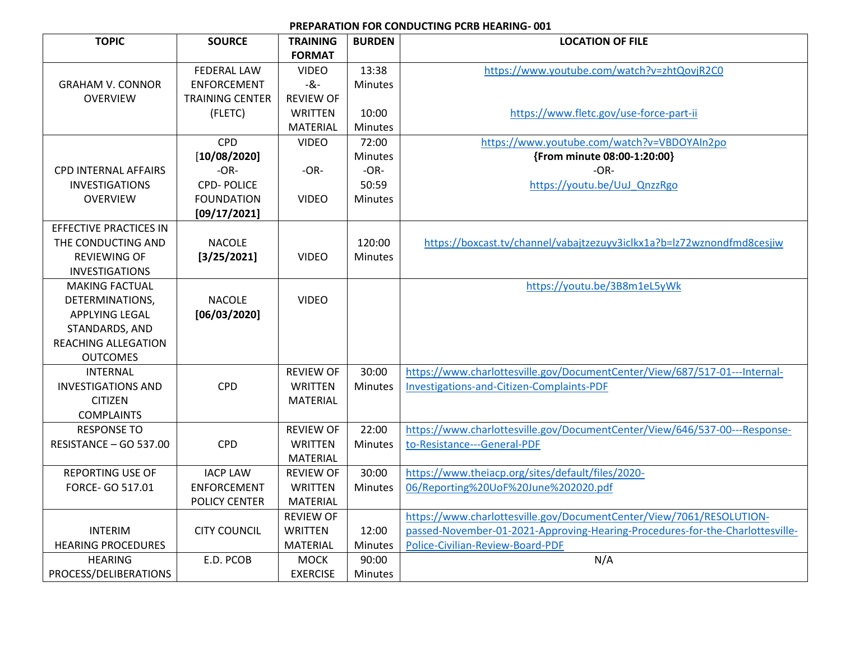## **PREPARATION FOR CONDUCTING PCRB HEARING- 001**

| <b>TOPIC</b>                  | <b>SOURCE</b>          | <b>TRAINING</b>  | <b>BURDEN</b>  | <b>LOCATION OF FILE</b>                                                       |
|-------------------------------|------------------------|------------------|----------------|-------------------------------------------------------------------------------|
|                               |                        | <b>FORMAT</b>    |                |                                                                               |
|                               | <b>FEDERAL LAW</b>     | <b>VIDEO</b>     | 13:38          | https://www.youtube.com/watch?v=zhtQovjR2C0                                   |
| <b>GRAHAM V. CONNOR</b>       | <b>ENFORCEMENT</b>     | -&-              | Minutes        |                                                                               |
| <b>OVERVIEW</b>               | <b>TRAINING CENTER</b> | <b>REVIEW OF</b> |                |                                                                               |
|                               | (FLETC)                | <b>WRITTEN</b>   | 10:00          | https://www.fletc.gov/use-force-part-ii                                       |
|                               |                        | <b>MATERIAL</b>  | <b>Minutes</b> |                                                                               |
|                               | <b>CPD</b>             | <b>VIDEO</b>     | 72:00          | https://www.youtube.com/watch?v=VBDOYAIn2po                                   |
|                               | [10/08/2020]           |                  | <b>Minutes</b> | {From minute 08:00-1:20:00}                                                   |
| <b>CPD INTERNAL AFFAIRS</b>   | $-OR-$                 | $-OR-$           | $-OR-$         | $-OR-$                                                                        |
| <b>INVESTIGATIONS</b>         | <b>CPD-POLICE</b>      |                  | 50:59          | https://youtu.be/UuJ QnzzRgo                                                  |
| <b>OVERVIEW</b>               | <b>FOUNDATION</b>      | <b>VIDEO</b>     | <b>Minutes</b> |                                                                               |
|                               | [09/17/2021]           |                  |                |                                                                               |
| <b>EFFECTIVE PRACTICES IN</b> |                        |                  |                |                                                                               |
| THE CONDUCTING AND            | <b>NACOLE</b>          |                  | 120:00         | https://boxcast.tv/channel/vabajtzezuyv3iclkx1a?b=lz72wznondfmd8cesjiw        |
| REVIEWING OF                  | [3/25/2021]            | <b>VIDEO</b>     | <b>Minutes</b> |                                                                               |
| <b>INVESTIGATIONS</b>         |                        |                  |                |                                                                               |
| <b>MAKING FACTUAL</b>         |                        |                  |                | https://youtu.be/3B8m1eL5yWk                                                  |
| DETERMINATIONS,               | <b>NACOLE</b>          | <b>VIDEO</b>     |                |                                                                               |
| APPLYING LEGAL                | [06/03/2020]           |                  |                |                                                                               |
| STANDARDS, AND                |                        |                  |                |                                                                               |
| <b>REACHING ALLEGATION</b>    |                        |                  |                |                                                                               |
| <b>OUTCOMES</b>               |                        |                  |                |                                                                               |
| <b>INTERNAL</b>               |                        | <b>REVIEW OF</b> | 30:00          | https://www.charlottesville.gov/DocumentCenter/View/687/517-01---Internal-    |
| <b>INVESTIGATIONS AND</b>     | <b>CPD</b>             | WRITTEN          | <b>Minutes</b> | Investigations-and-Citizen-Complaints-PDF                                     |
| <b>CITIZEN</b>                |                        | <b>MATERIAL</b>  |                |                                                                               |
| <b>COMPLAINTS</b>             |                        |                  |                |                                                                               |
| <b>RESPONSE TO</b>            |                        | <b>REVIEW OF</b> | 22:00          | https://www.charlottesville.gov/DocumentCenter/View/646/537-00---Response-    |
| RESISTANCE - GO 537.00        | <b>CPD</b>             | <b>WRITTEN</b>   | Minutes        | to-Resistance---General-PDF                                                   |
|                               |                        | <b>MATERIAL</b>  |                |                                                                               |
| <b>REPORTING USE OF</b>       | <b>IACP LAW</b>        | <b>REVIEW OF</b> | 30:00          | https://www.theiacp.org/sites/default/files/2020-                             |
| FORCE- GO 517.01              | <b>ENFORCEMENT</b>     | <b>WRITTEN</b>   | <b>Minutes</b> | 06/Reporting%20UoF%20June%202020.pdf                                          |
|                               | POLICY CENTER          | <b>MATERIAL</b>  |                |                                                                               |
|                               |                        | <b>REVIEW OF</b> |                | https://www.charlottesville.gov/DocumentCenter/View/7061/RESOLUTION-          |
| <b>INTERIM</b>                | <b>CITY COUNCIL</b>    | <b>WRITTEN</b>   | 12:00          | passed-November-01-2021-Approving-Hearing-Procedures-for-the-Charlottesville- |
| <b>HEARING PROCEDURES</b>     |                        | <b>MATERIAL</b>  | Minutes        | Police-Civilian-Review-Board-PDF                                              |
| <b>HEARING</b>                | E.D. PCOB              | <b>MOCK</b>      | 90:00          | N/A                                                                           |
| PROCESS/DELIBERATIONS         |                        | <b>EXERCISE</b>  | <b>Minutes</b> |                                                                               |